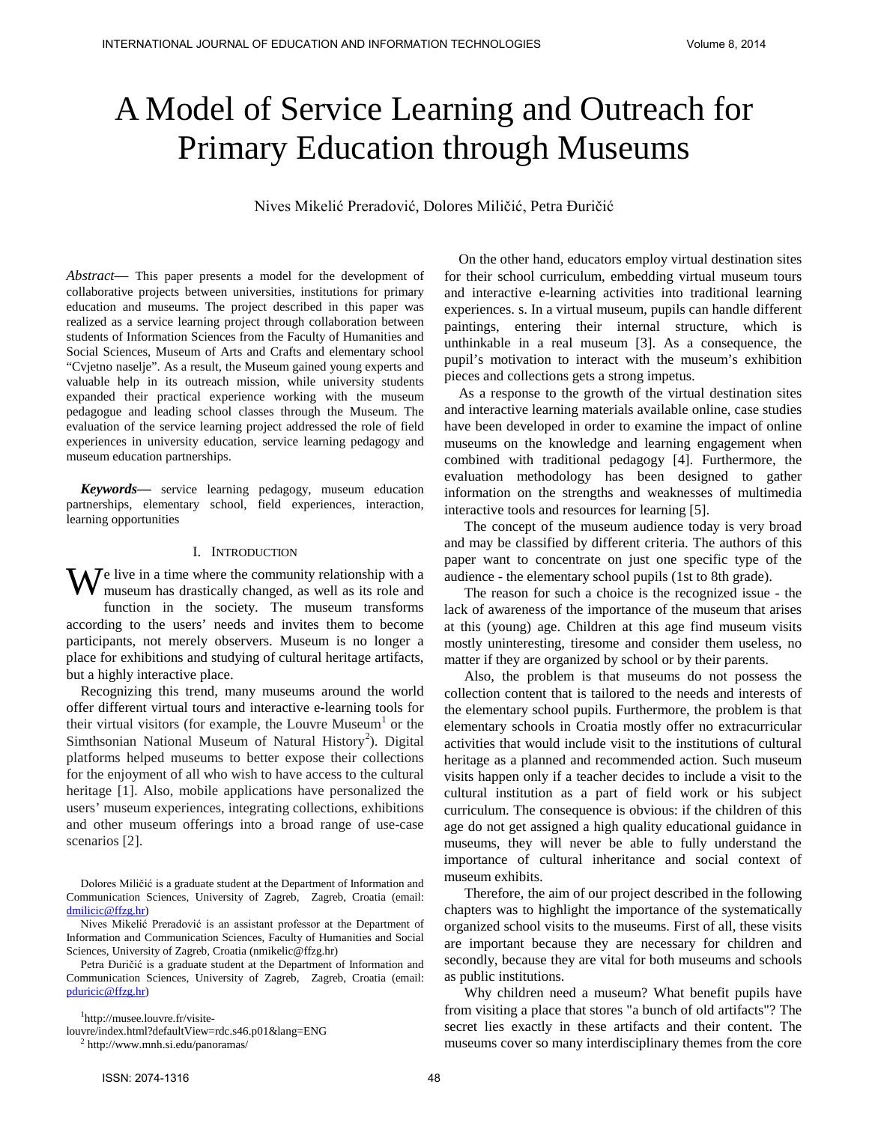# A Model of Service Learning and Outreach for Primary Education through Museums

Nives Mikelić Preradović, Dolores Miličić, Petra Đuričić

*Abstract*— This paper presents a model for the development of collaborative projects between universities, institutions for primary education and museums. The project described in this paper was realized as a service learning project through collaboration between students of Information Sciences from the Faculty of Humanities and Social Sciences, Museum of Arts and Crafts and elementary school "Cvjetno naselje". As a result, the Museum gained young experts and valuable help in its outreach mission, while university students expanded their practical experience working with the museum pedagogue and leading school classes through the Museum. The evaluation of the service learning project addressed the role of field experiences in university education, service learning pedagogy and museum education partnerships.

*Keywords***—** service learning pedagogy, museum education partnerships, elementary school, field experiences, interaction, learning opportunities

## I. INTRODUCTION

e live in a time where the community relationship with a We live in a time where the community relationship with a museum has drastically changed, as well as its role and function in the society. The museum transforms according to the users' needs and invites them to become participants, not merely observers. Museum is no longer a place for exhibitions and studying of cultural heritage artifacts, but a highly interactive place.

Recognizing this trend, many museums around the world offer different virtual tours and interactive e-learning tools for their virtual visitors (for example, the Louvre Museum<sup>[1](#page-0-0)</sup> or the Simthsonian National Museum of Natural History<sup>[2](#page-0-1)</sup>). Digital platforms helped museums to better expose their collections for the enjoyment of all who wish to have access to the cultural heritage [1]. Also, mobile applications have personalized the users' museum experiences, integrating collections, exhibitions and other museum offerings into a broad range of use-case scenarios [2].

Nives Mikelić Preradović is an assistant professor at the Department of Information and Communication Sciences, Faculty of Humanities and Social Sciences, University of Zagreb, Croatia (nmikelic@ffzg.hr)

Petra Đuričić is a graduate student at the Department of Information and Communication Sciences, University of Zagreb, Zagreb, Croatia (email: [pduricic@ffzg.hr\)](mailto:pduricic@ffzg.hr) 

1 http://musee.louvre.fr/visite-

<span id="page-0-1"></span><span id="page-0-0"></span>louvre/index.html?defaultView=rdc.s46.p01&lang=ENG <sup>2</sup> http://www.mnh.si.edu/panoramas/

On the other hand, educators employ virtual destination sites for their school curriculum, embedding virtual museum tours and interactive e-learning activities into traditional learning experiences. s. In a virtual museum, pupils can handle different paintings, entering their internal structure, which is unthinkable in a real museum [3]. As a consequence, the pupil's motivation to interact with the museum's exhibition pieces and collections gets a strong impetus.

As a response to the growth of the virtual destination sites and interactive learning materials available online, case studies have been developed in order to examine the impact of online museums on the knowledge and learning engagement when combined with traditional pedagogy [4]. Furthermore, the evaluation methodology has been designed to gather information on the strengths and weaknesses of multimedia interactive tools and resources for learning [5].

The concept of the museum audience today is very broad and may be classified by different criteria. The authors of this paper want to concentrate on just one specific type of the audience - the elementary school pupils (1st to 8th grade).

The reason for such a choice is the recognized issue - the lack of awareness of the importance of the museum that arises at this (young) age. Children at this age find museum visits mostly uninteresting, tiresome and consider them useless, no matter if they are organized by school or by their parents.

Also, the problem is that museums do not possess the collection content that is tailored to the needs and interests of the elementary school pupils. Furthermore, the problem is that elementary schools in Croatia mostly offer no extracurricular activities that would include visit to the institutions of cultural heritage as a planned and recommended action. Such museum visits happen only if a teacher decides to include a visit to the cultural institution as a part of field work or his subject curriculum. The consequence is obvious: if the children of this age do not get assigned a high quality educational guidance in museums, they will never be able to fully understand the importance of cultural inheritance and social context of museum exhibits.

Therefore, the aim of our project described in the following chapters was to highlight the importance of the systematically organized school visits to the museums. First of all, these visits are important because they are necessary for children and secondly, because they are vital for both museums and schools as public institutions.

Why children need a museum? What benefit pupils have from visiting a place that stores "a bunch of old artifacts"? The secret lies exactly in these artifacts and their content. The museums cover so many interdisciplinary themes from the core

Dolores Miličić is a graduate student at the Department of Information and Communication Sciences, University of Zagreb, Zagreb, Croatia (email: [dmilicic@ffzg.hr\)](mailto:dmilicic@ffzg.hr)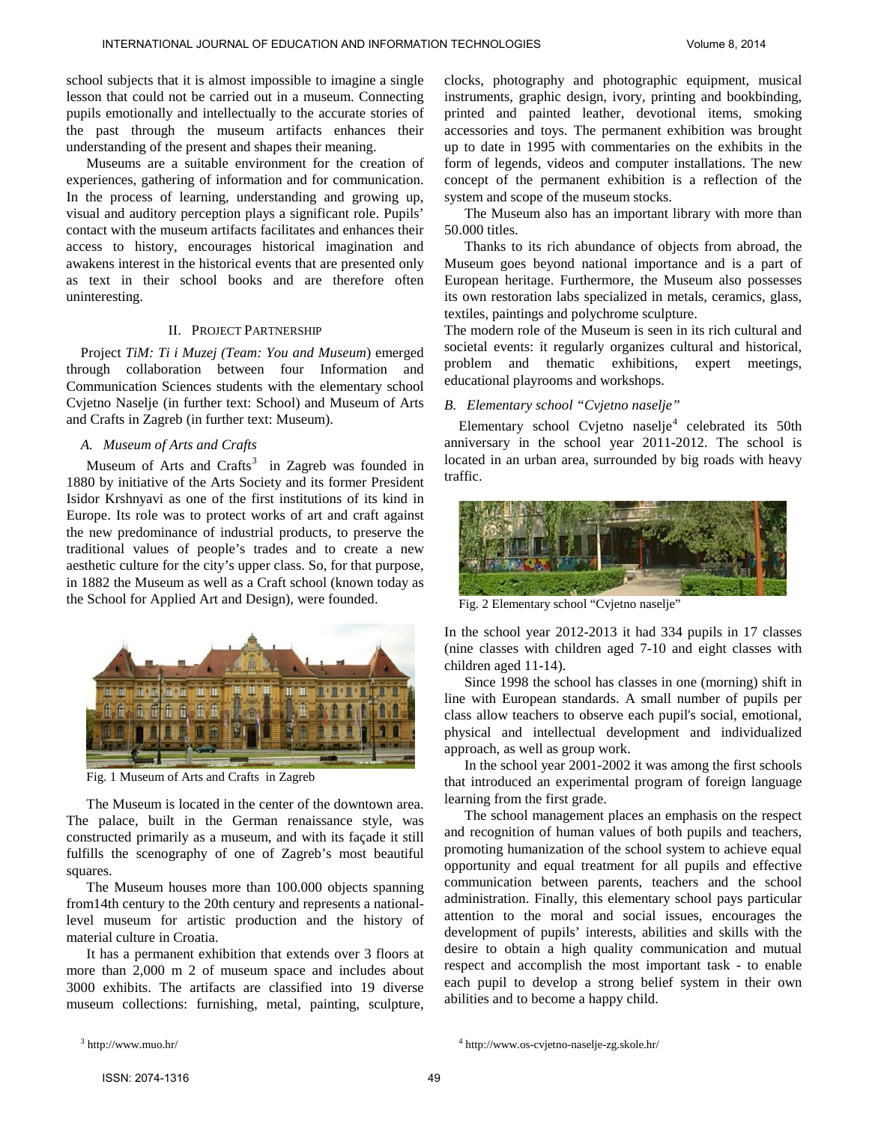school subjects that it is almost impossible to imagine a single lesson that could not be carried out in a museum. Connecting pupils emotionally and intellectually to the accurate stories of the past through the museum artifacts enhances their understanding of the present and shapes their meaning.

Museums are a suitable environment for the creation of experiences, gathering of information and for communication. In the process of learning, understanding and growing up, visual and auditory perception plays a significant role. Pupils' contact with the museum artifacts facilitates and enhances their access to history, encourages historical imagination and awakens interest in the historical events that are presented only as text in their school books and are therefore often uninteresting.

## II. PROJECT PARTNERSHIP

Project *TiM: Ti i Muzej (Team: You and Museum*) emerged through collaboration between four Information and Communication Sciences students with the elementary school Cvjetno Naselje (in further text: School) and Museum of Arts and Crafts in Zagreb (in further text: Museum).

## *A. Museum of Arts and Crafts*

Museum of Arts and Crafts<sup>[3](#page-1-0)</sup> in Zagreb was founded in 1880 by initiative of the Arts Society and its former President Isidor Krshnyavi as one of the first institutions of its kind in Europe. Its role was to protect works of art and craft against the new predominance of industrial products, to preserve the traditional values of people's trades and to create a new aesthetic culture for the city's upper class. So, for that purpose, in 1882 the Museum as well as a Craft school (known today as the School for Applied Art and Design), were founded.



Fig. 1 Museum of Arts and Crafts in Zagreb

The Museum is located in the center of the downtown area. The palace, built in the German renaissance style, was constructed primarily as a museum, and with its façade it still fulfills the scenography of one of Zagreb's most beautiful squares.

The Museum houses more than 100.000 objects spanning from14th century to the 20th century and represents a nationallevel museum for artistic production and the history of material culture in Croatia.

It has a permanent exhibition that extends over 3 floors at more than 2,000 m 2 of museum space and includes about 3000 exhibits. The artifacts are classified into 19 diverse museum collections: furnishing, metal, painting, sculpture, clocks, photography and photographic equipment, musical instruments, graphic design, ivory, printing and bookbinding, printed and painted leather, devotional items, smoking accessories and toys. The permanent exhibition was brought up to date in 1995 with commentaries on the exhibits in the form of legends, videos and computer installations. The new concept of the permanent exhibition is a reflection of the system and scope of the museum stocks.

The Museum also has an important library with more than 50.000 titles.

Thanks to its rich abundance of objects from abroad, the Museum goes beyond national importance and is a part of European heritage. Furthermore, the Museum also possesses its own restoration labs specialized in metals, ceramics, glass, textiles, paintings and polychrome sculpture.

The modern role of the Museum is seen in its rich cultural and societal events: it regularly organizes cultural and historical, problem and thematic exhibitions, expert meetings, educational playrooms and workshops.

## *B. Elementary school "Cvjetno naselje"*

Elementary school Cvjetno naselje $4$  celebrated its 50th anniversary in the school year 2011-2012. The school is located in an urban area, surrounded by big roads with heavy traffic.



Fig. 2 Elementary school "Cvjetno naselje"

In the school year 2012-2013 it had 334 pupils in 17 classes (nine classes with children aged 7-10 and eight classes with children aged 11-14).

Since 1998 the school has classes in one (morning) shift in line with European standards. A small number of pupils per class allow teachers to observe each pupil's social, emotional, physical and intellectual development and individualized approach, as well as group work.

In the school year 2001-2002 it was among the first schools that introduced an experimental program of foreign language learning from the first grade.

The school management places an emphasis on the respect and recognition of human values of both pupils and teachers, promoting humanization of the school system to achieve equal opportunity and equal treatment for all pupils and effective communication between parents, teachers and the school administration. Finally, this elementary school pays particular attention to the moral and social issues, encourages the development of pupils' interests, abilities and skills with the desire to obtain a high quality communication and mutual respect and accomplish the most important task - to enable each pupil to develop a strong belief system in their own abilities and to become a happy child.

<span id="page-1-0"></span> $3$  http://www.muo.hr/

<sup>4</sup> http://www.os-cvjetno-naselje-zg.skole.hr/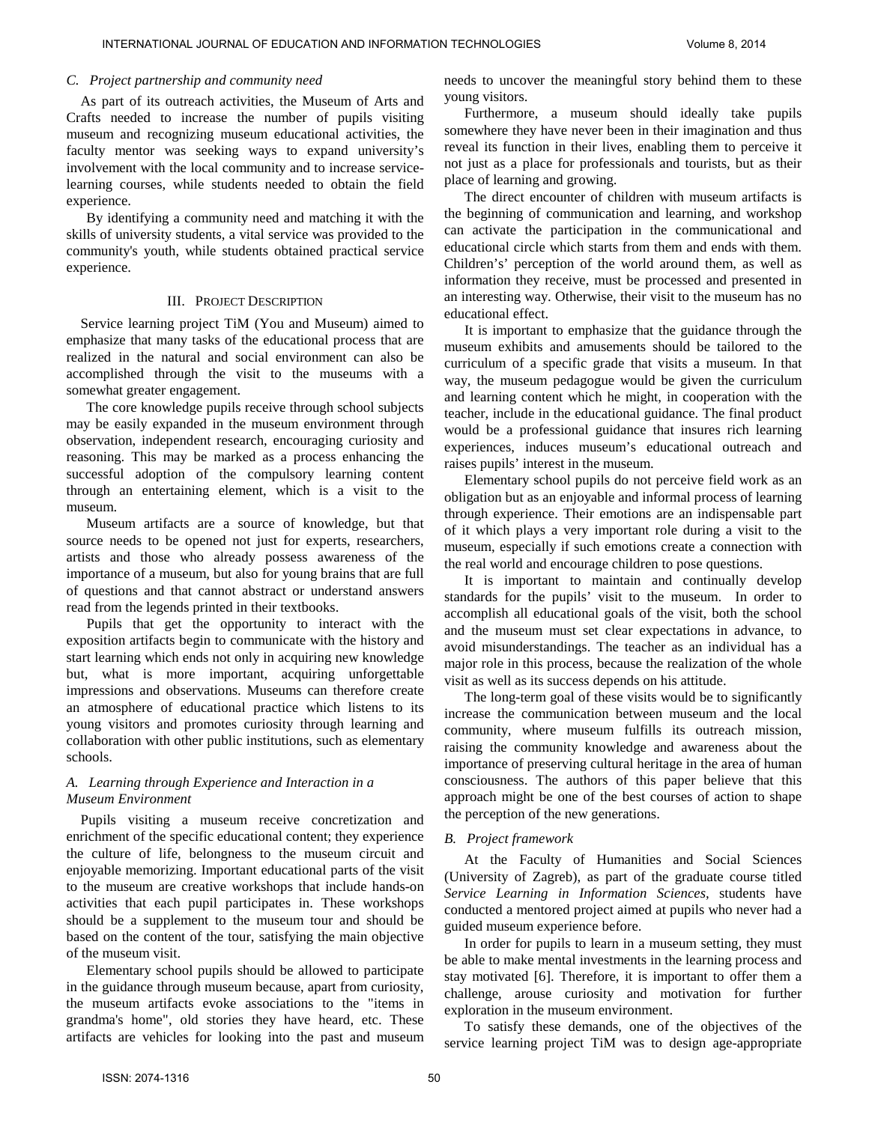## *C. Project partnership and community need*

As part of its outreach activities, the Museum of Arts and Crafts needed to increase the number of pupils visiting museum and recognizing museum educational activities, the faculty mentor was seeking ways to expand university's involvement with the local community and to increase servicelearning courses, while students needed to obtain the field experience.

By identifying a community need and matching it with the skills of university students, a vital service was provided to the community's youth, while students obtained practical service experience.

## III. PROJECT DESCRIPTION

Service learning project TiM (You and Museum) aimed to emphasize that many tasks of the educational process that are realized in the natural and social environment can also be accomplished through the visit to the museums with a somewhat greater engagement.

The core knowledge pupils receive through school subjects may be easily expanded in the museum environment through observation, independent research, encouraging curiosity and reasoning. This may be marked as a process enhancing the successful adoption of the compulsory learning content through an entertaining element, which is a visit to the museum.

Museum artifacts are a source of knowledge, but that source needs to be opened not just for experts, researchers, artists and those who already possess awareness of the importance of a museum, but also for young brains that are full of questions and that cannot abstract or understand answers read from the legends printed in their textbooks.

Pupils that get the opportunity to interact with the exposition artifacts begin to communicate with the history and start learning which ends not only in acquiring new knowledge but, what is more important, acquiring unforgettable impressions and observations. Museums can therefore create an atmosphere of educational practice which listens to its young visitors and promotes curiosity through learning and collaboration with other public institutions, such as elementary schools.

## *A. Learning through Experience and Interaction in a Museum Environment*

Pupils visiting a museum receive concretization and enrichment of the specific educational content; they experience the culture of life, belongness to the museum circuit and enjoyable memorizing. Important educational parts of the visit to the museum are creative workshops that include hands-on activities that each pupil participates in. These workshops should be a supplement to the museum tour and should be based on the content of the tour, satisfying the main objective of the museum visit.

Elementary school pupils should be allowed to participate in the guidance through museum because, apart from curiosity, the museum artifacts evoke associations to the "items in grandma's home", old stories they have heard, etc. These artifacts are vehicles for looking into the past and museum needs to uncover the meaningful story behind them to these young visitors.

Furthermore, a museum should ideally take pupils somewhere they have never been in their imagination and thus reveal its function in their lives, enabling them to perceive it not just as a place for professionals and tourists, but as their place of learning and growing.

The direct encounter of children with museum artifacts is the beginning of communication and learning, and workshop can activate the participation in the communicational and educational circle which starts from them and ends with them. Children's' perception of the world around them, as well as information they receive, must be processed and presented in an interesting way. Otherwise, their visit to the museum has no educational effect.

It is important to emphasize that the guidance through the museum exhibits and amusements should be tailored to the curriculum of a specific grade that visits a museum. In that way, the museum pedagogue would be given the curriculum and learning content which he might, in cooperation with the teacher, include in the educational guidance. The final product would be a professional guidance that insures rich learning experiences, induces museum's educational outreach and raises pupils' interest in the museum.

Elementary school pupils do not perceive field work as an obligation but as an enjoyable and informal process of learning through experience. Their emotions are an indispensable part of it which plays a very important role during a visit to the museum, especially if such emotions create a connection with the real world and encourage children to pose questions.

It is important to maintain and continually develop standards for the pupils' visit to the museum. In order to accomplish all educational goals of the visit, both the school and the museum must set clear expectations in advance, to avoid misunderstandings. The teacher as an individual has a major role in this process, because the realization of the whole visit as well as its success depends on his attitude.

The long-term goal of these visits would be to significantly increase the communication between museum and the local community, where museum fulfills its outreach mission, raising the community knowledge and awareness about the importance of preserving cultural heritage in the area of human consciousness. The authors of this paper believe that this approach might be one of the best courses of action to shape the perception of the new generations.

#### *B. Project framework*

At the Faculty of Humanities and Social Sciences (University of Zagreb), as part of the graduate course titled *Service Learning in Information Sciences,* students have conducted a mentored project aimed at pupils who never had a guided museum experience before.

In order for pupils to learn in a museum setting, they must be able to make mental investments in the learning process and stay motivated [6]. Therefore, it is important to offer them a challenge, arouse curiosity and motivation for further exploration in the museum environment.

To satisfy these demands, one of the objectives of the service learning project TiM was to design age-appropriate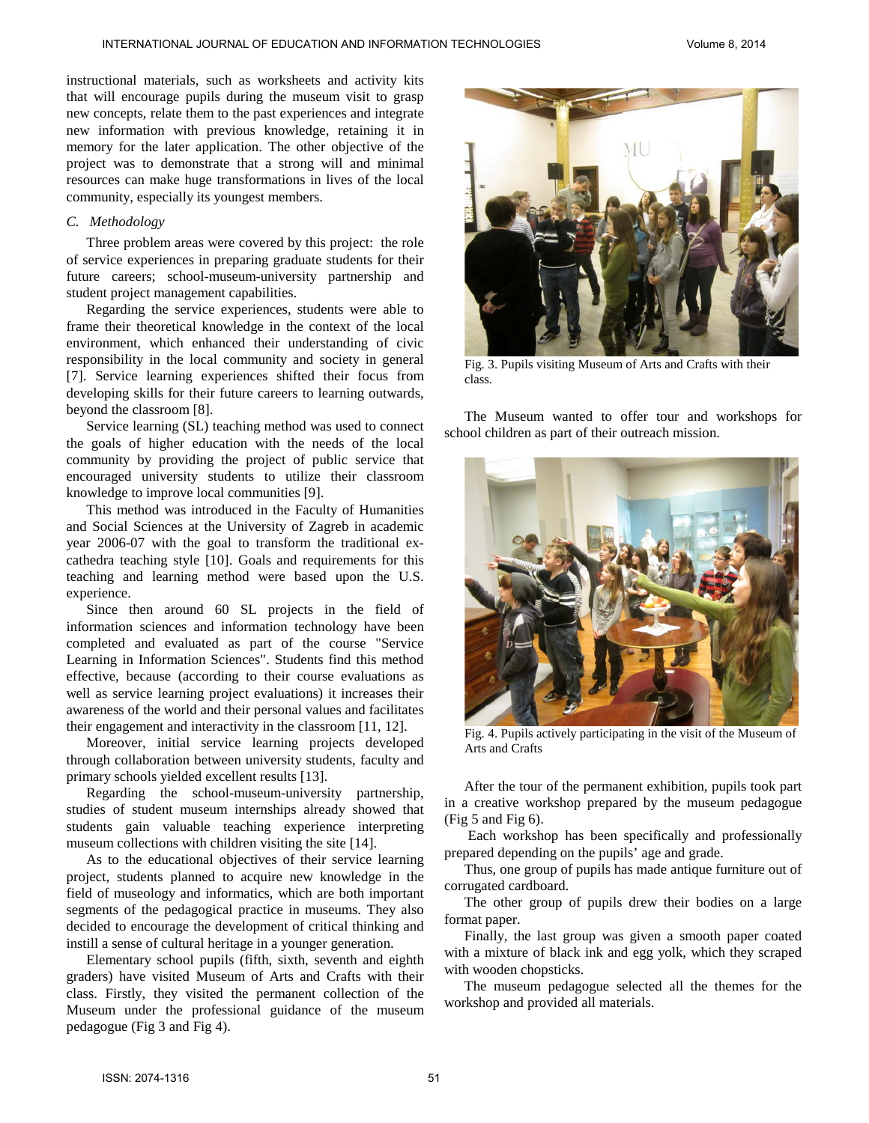instructional materials, such as worksheets and activity kits that will encourage pupils during the museum visit to grasp new concepts, relate them to the past experiences and integrate new information with previous knowledge, retaining it in memory for the later application. The other objective of the project was to demonstrate that a strong will and minimal resources can make huge transformations in lives of the local community, especially its youngest members.

## *C. Methodology*

Three problem areas were covered by this project: the role of service experiences in preparing graduate students for their future careers; school-museum-university partnership and student project management capabilities.

Regarding the service experiences, students were able to frame their theoretical knowledge in the context of the local environment, which enhanced their understanding of civic responsibility in the local community and society in general [7]. Service learning experiences shifted their focus from developing skills for their future careers to learning outwards, beyond the classroom [8].

Service learning (SL) teaching method was used to connect the goals of higher education with the needs of the local community by providing the project of public service that encouraged university students to utilize their classroom knowledge to improve local communities [9].

This method was introduced in the Faculty of Humanities and Social Sciences at the University of Zagreb in academic year 2006-07 with the goal to transform the traditional excathedra teaching style [10]. Goals and requirements for this teaching and learning method were based upon the U.S. experience.

Since then around 60 SL projects in the field of information sciences and information technology have been completed and evaluated as part of the course "Service Learning in Information Sciences". Students find this method effective, because (according to their course evaluations as well as service learning project evaluations) it increases their awareness of the world and their personal values and facilitates their engagement and interactivity in the classroom [11, 12].

Moreover, initial service learning projects developed through collaboration between university students, faculty and primary schools yielded excellent results [13].

Regarding the school-museum-university partnership, studies of student museum internships already showed that students gain valuable teaching experience interpreting museum collections with children visiting the site [14].

As to the educational objectives of their service learning project, students planned to acquire new knowledge in the field of museology and informatics, which are both important segments of the pedagogical practice in museums. They also decided to encourage the development of critical thinking and instill a sense of cultural heritage in a younger generation.

Elementary school pupils (fifth, sixth, seventh and eighth graders) have visited Museum of Arts and Crafts with their class. Firstly, they visited the permanent collection of the Museum under the professional guidance of the museum pedagogue (Fig 3 and Fig 4).



Fig. 3. Pupils visiting Museum of Arts and Crafts with their class.

The Museum wanted to offer tour and workshops for school children as part of their outreach mission.



Fig. 4. Pupils actively participating in the visit of the Museum of Arts and Crafts

After the tour of the permanent exhibition, pupils took part in a creative workshop prepared by the museum pedagogue (Fig 5 and Fig 6).

Each workshop has been specifically and professionally prepared depending on the pupils' age and grade.

Thus, one group of pupils has made antique furniture out of corrugated cardboard.

The other group of pupils drew their bodies on a large format paper.

Finally, the last group was given a smooth paper coated with a mixture of black ink and egg yolk, which they scraped with wooden chopsticks.

The museum pedagogue selected all the themes for the workshop and provided all materials.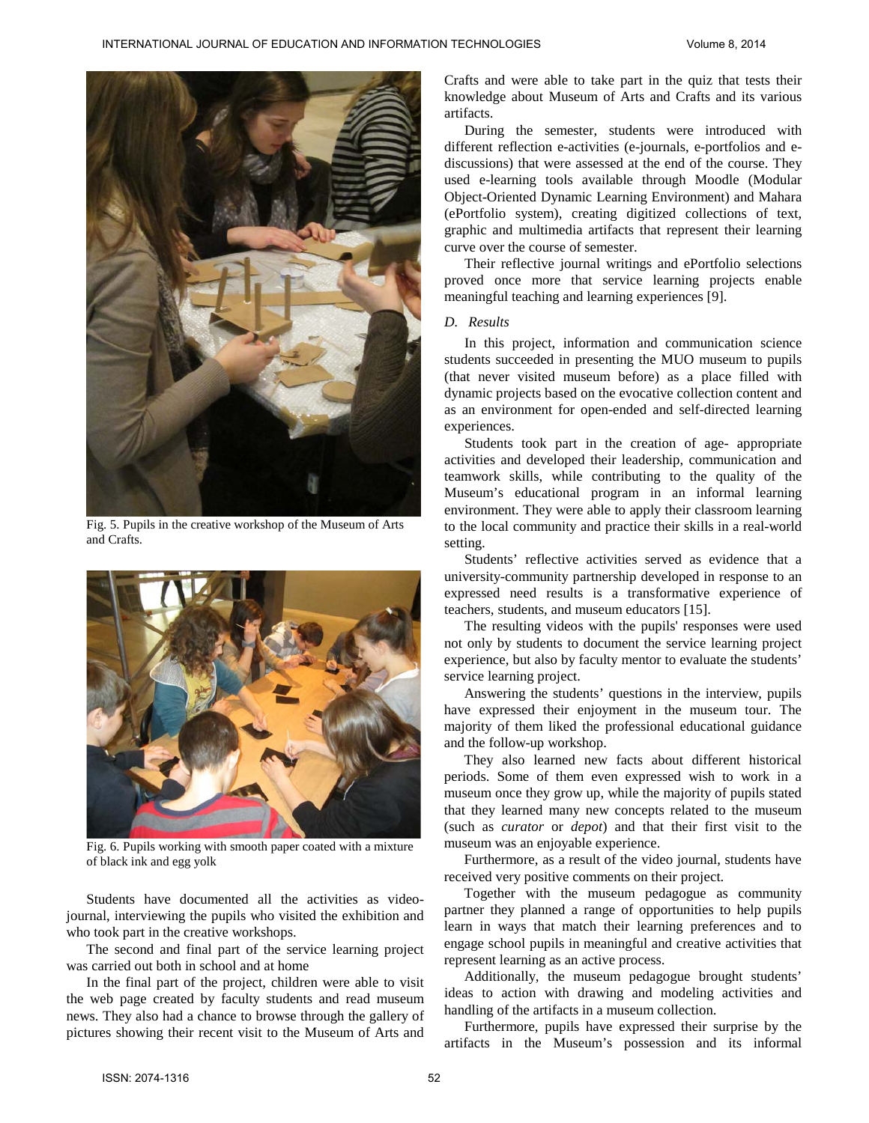

Fig. 5. Pupils in the creative workshop of the Museum of Arts and Crafts.



Fig. 6. Pupils working with smooth paper coated with a mixture of black ink and egg yolk

Students have documented all the activities as videojournal, interviewing the pupils who visited the exhibition and who took part in the creative workshops.

The second and final part of the service learning project was carried out both in school and at home

In the final part of the project, children were able to visit the web page created by faculty students and read museum news. They also had a chance to browse through the gallery of pictures showing their recent visit to the Museum of Arts and Crafts and were able to take part in the quiz that tests their knowledge about Museum of Arts and Crafts and its various artifacts.

During the semester, students were introduced with different reflection e-activities (e-journals, e-portfolios and ediscussions) that were assessed at the end of the course. They used e-learning tools available through Moodle (Modular Object-Oriented Dynamic Learning Environment) and Mahara (ePortfolio system), creating digitized collections of text, graphic and multimedia artifacts that represent their learning curve over the course of semester.

Their reflective journal writings and ePortfolio selections proved once more that service learning projects enable meaningful teaching and learning experiences [9].

#### *D. Results*

In this project, information and communication science students succeeded in presenting the MUO museum to pupils (that never visited museum before) as a place filled with dynamic projects based on the evocative collection content and as an environment for open-ended and self-directed learning experiences.

Students took part in the creation of age- appropriate activities and developed their leadership, communication and teamwork skills, while contributing to the quality of the Museum's educational program in an informal learning environment. They were able to apply their classroom learning to the local community and practice their skills in a real-world setting.

Students' reflective activities served as evidence that a university-community partnership developed in response to an expressed need results is a transformative experience of teachers, students, and museum educators [15].

The resulting videos with the pupils' responses were used not only by students to document the service learning project experience, but also by faculty mentor to evaluate the students' service learning project.

Answering the students' questions in the interview, pupils have expressed their enjoyment in the museum tour. The majority of them liked the professional educational guidance and the follow-up workshop.

They also learned new facts about different historical periods. Some of them even expressed wish to work in a museum once they grow up, while the majority of pupils stated that they learned many new concepts related to the museum (such as *curator* or *depot*) and that their first visit to the museum was an enjoyable experience.

Furthermore, as a result of the video journal, students have received very positive comments on their project.

Together with the museum pedagogue as community partner they planned a range of opportunities to help pupils learn in ways that match their learning preferences and to engage school pupils in meaningful and creative activities that represent learning as an active process.

Additionally, the museum pedagogue brought students' ideas to action with drawing and modeling activities and handling of the artifacts in a museum collection.

Furthermore, pupils have expressed their surprise by the artifacts in the Museum's possession and its informal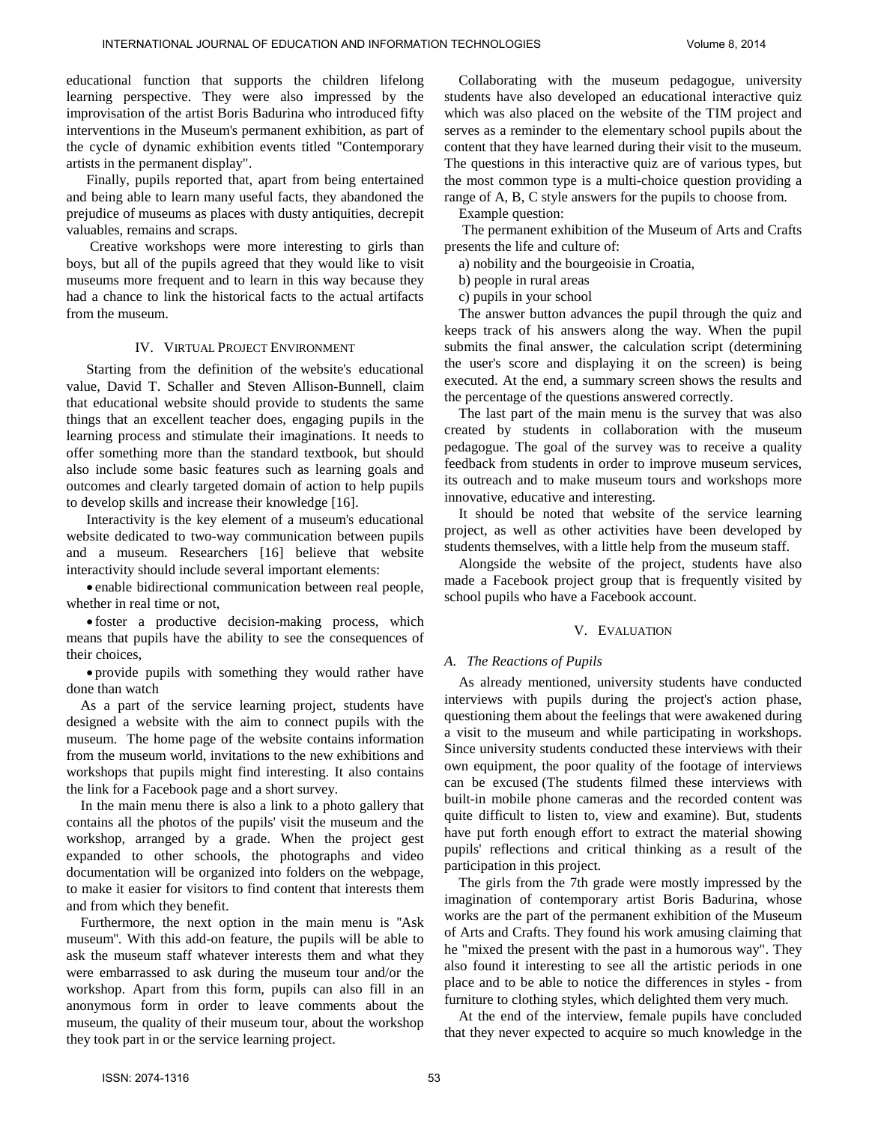educational function that supports the children lifelong learning perspective. They were also impressed by the improvisation of the artist Boris Badurina who introduced fifty interventions in the Museum's permanent exhibition, as part of the cycle of dynamic exhibition events titled "Contemporary artists in the permanent display".

Finally, pupils reported that, apart from being entertained and being able to learn many useful facts, they abandoned the prejudice of museums as places with dusty antiquities, decrepit valuables, remains and scraps.

Creative workshops were more interesting to girls than boys, but all of the pupils agreed that they would like to visit museums more frequent and to learn in this way because they had a chance to link the historical facts to the actual artifacts from the museum.

#### IV. VIRTUAL PROJECT ENVIRONMENT

Starting from the definition of the website's educational value, David T. Schaller and Steven Allison-Bunnell, claim that educational website should provide to students the same things that an excellent teacher does, engaging pupils in the learning process and stimulate their imaginations. It needs to offer something more than the standard textbook, but should also include some basic features such as learning goals and outcomes and clearly targeted domain of action to help pupils to develop skills and increase their knowledge [16].

Interactivity is the key element of a museum's educational website dedicated to two-way communication between pupils and a museum. Researchers [16] believe that website interactivity should include several important elements:

• enable bidirectional communication between real people, whether in real time or not,

• foster a productive decision-making process, which means that pupils have the ability to see the consequences of their choices,

• provide pupils with something they would rather have done than watch

As a part of the service learning project, students have designed a website with the aim to connect pupils with the museum. The home page of the website contains information from the museum world, invitations to the new exhibitions and workshops that pupils might find interesting. It also contains the link for a Facebook page and a short survey.

In the main menu there is also a link to a photo gallery that contains all the photos of the pupils' visit the museum and the workshop, arranged by a grade. When the project gest expanded to other schools, the photographs and video documentation will be organized into folders on the webpage, to make it easier for visitors to find content that interests them and from which they benefit.

Furthermore, the next option in the main menu is ''Ask museum''. With this add-on feature, the pupils will be able to ask the museum staff whatever interests them and what they were embarrassed to ask during the museum tour and/or the workshop. Apart from this form, pupils can also fill in an anonymous form in order to leave comments about the museum, the quality of their museum tour, about the workshop they took part in or the service learning project.

Collaborating with the museum pedagogue, university students have also developed an educational interactive quiz which was also placed on the website of the TIM project and serves as a reminder to the elementary school pupils about the content that they have learned during their visit to the museum. The questions in this interactive quiz are of various types, but the most common type is a multi-choice question providing a range of A, B, C style answers for the pupils to choose from.

Example question:

The permanent exhibition of the Museum of Arts and Crafts presents the life and culture of:

a) nobility and the bourgeoisie in Croatia,

b) people in rural areas

c) pupils in your school

The answer button advances the pupil through the quiz and keeps track of his answers along the way. When the pupil submits the final answer, the calculation script (determining the user's score and displaying it on the screen) is being executed. At the end, a summary screen shows the results and the percentage of the questions answered correctly.

The last part of the main menu is the survey that was also created by students in collaboration with the museum pedagogue. The goal of the survey was to receive a quality feedback from students in order to improve museum services, its outreach and to make museum tours and workshops more innovative, educative and interesting.

It should be noted that website of the service learning project, as well as other activities have been developed by students themselves, with a little help from the museum staff.

Alongside the website of the project, students have also made a Facebook project group that is frequently visited by school pupils who have a Facebook account.

### V. EVALUATION

#### *A. The Reactions of Pupils*

As already mentioned, university students have conducted interviews with pupils during the project's action phase, questioning them about the feelings that were awakened during a visit to the museum and while participating in workshops. Since university students conducted these interviews with their own equipment, the poor quality of the footage of interviews can be excused (The students filmed these interviews with built-in mobile phone cameras and the recorded content was quite difficult to listen to, view and examine). But, students have put forth enough effort to extract the material showing pupils' reflections and critical thinking as a result of the participation in this project.

The girls from the 7th grade were mostly impressed by the imagination of contemporary artist Boris Badurina, whose works are the part of the permanent exhibition of the Museum of Arts and Crafts. They found his work amusing claiming that he "mixed the present with the past in a humorous way". They also found it interesting to see all the artistic periods in one place and to be able to notice the differences in styles - from furniture to clothing styles, which delighted them very much.

At the end of the interview, female pupils have concluded that they never expected to acquire so much knowledge in the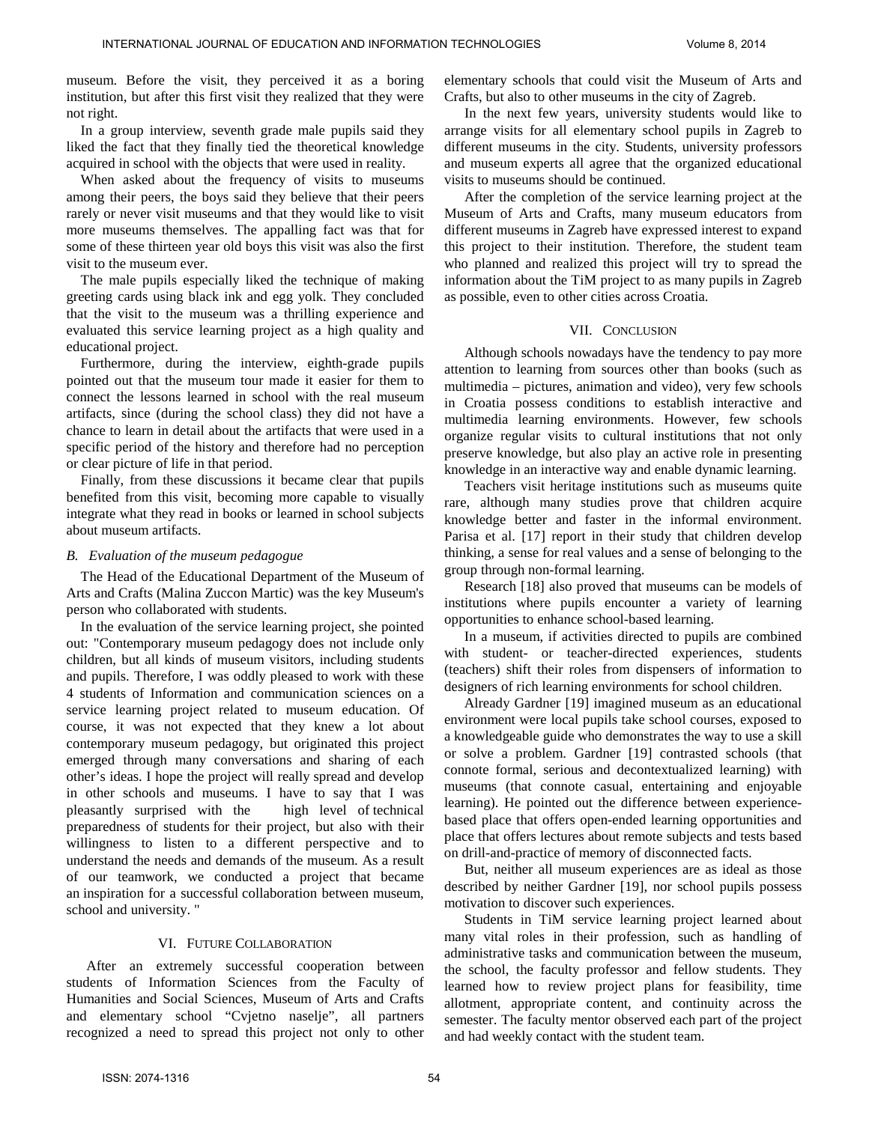museum. Before the visit, they perceived it as a boring institution, but after this first visit they realized that they were not right.

In a group interview, seventh grade male pupils said they liked the fact that they finally tied the theoretical knowledge acquired in school with the objects that were used in reality.

When asked about the frequency of visits to museums among their peers, the boys said they believe that their peers rarely or never visit museums and that they would like to visit more museums themselves. The appalling fact was that for some of these thirteen year old boys this visit was also the first visit to the museum ever.

The male pupils especially liked the technique of making greeting cards using black ink and egg yolk. They concluded that the visit to the museum was a thrilling experience and evaluated this service learning project as a high quality and educational project.

Furthermore, during the interview, eighth-grade pupils pointed out that the museum tour made it easier for them to connect the lessons learned in school with the real museum artifacts, since (during the school class) they did not have a chance to learn in detail about the artifacts that were used in a specific period of the history and therefore had no perception or clear picture of life in that period.

Finally, from these discussions it became clear that pupils benefited from this visit, becoming more capable to visually integrate what they read in books or learned in school subjects about museum artifacts.

#### *B. Evaluation of the museum pedagogue*

The Head of the Educational Department of the Museum of Arts and Crafts (Malina Zuccon Martic) was the key Museum's person who collaborated with students.

In the evaluation of the service learning project, she pointed out: "Contemporary museum pedagogy does not include only children, but all kinds of museum visitors, including students and pupils. Therefore, I was oddly pleased to work with these 4 students of Information and communication sciences on a service learning project related to museum education. Of course, it was not expected that they knew a lot about contemporary museum pedagogy, but originated this project emerged through many conversations and sharing of each other's ideas. I hope the project will really spread and develop in other schools and museums. I have to say that I was pleasantly surprised with the high level of technical preparedness of students for their project, but also with their willingness to listen to a different perspective and to understand the needs and demands of the museum. As a result of our teamwork, we conducted a project that became an inspiration for a successful collaboration between museum, school and university. "

#### VI. FUTURE COLLABORATION

After an extremely successful cooperation between students of Information Sciences from the Faculty of Humanities and Social Sciences, Museum of Arts and Crafts and elementary school "Cvjetno naselje", all partners recognized a need to spread this project not only to other elementary schools that could visit the Museum of Arts and Crafts, but also to other museums in the city of Zagreb.

In the next few years, university students would like to arrange visits for all elementary school pupils in Zagreb to different museums in the city. Students, university professors and museum experts all agree that the organized educational visits to museums should be continued.

After the completion of the service learning project at the Museum of Arts and Crafts, many museum educators from different museums in Zagreb have expressed interest to expand this project to their institution. Therefore, the student team who planned and realized this project will try to spread the information about the TiM project to as many pupils in Zagreb as possible, even to other cities across Croatia.

#### VII. CONCLUSION

Although schools nowadays have the tendency to pay more attention to learning from sources other than books (such as multimedia – pictures, animation and video), very few schools in Croatia possess conditions to establish interactive and multimedia learning environments. However, few schools organize regular visits to cultural institutions that not only preserve knowledge, but also play an active role in presenting knowledge in an interactive way and enable dynamic learning.

Teachers visit heritage institutions such as museums quite rare, although many studies prove that children acquire knowledge better and faster in the informal environment. Parisa et al. [17] report in their study that children develop thinking, a sense for real values and a sense of belonging to the group through non-formal learning.

Research [18] also proved that museums can be models of institutions where pupils encounter a variety of learning opportunities to enhance school-based learning.

In a museum, if activities directed to pupils are combined with student- or teacher-directed experiences, students (teachers) shift their roles from dispensers of information to designers of rich learning environments for school children.

Already Gardner [19] imagined museum as an educational environment were local pupils take school courses, exposed to a knowledgeable guide who demonstrates the way to use a skill or solve a problem. Gardner [19] contrasted schools (that connote formal, serious and decontextualized learning) with museums (that connote casual, entertaining and enjoyable learning). He pointed out the difference between experiencebased place that offers open-ended learning opportunities and place that offers lectures about remote subjects and tests based on drill-and-practice of memory of disconnected facts.

But, neither all museum experiences are as ideal as those described by neither Gardner [19], nor school pupils possess motivation to discover such experiences.

Students in TiM service learning project learned about many vital roles in their profession, such as handling of administrative tasks and communication between the museum, the school, the faculty professor and fellow students. They learned how to review project plans for feasibility, time allotment, appropriate content, and continuity across the semester. The faculty mentor observed each part of the project and had weekly contact with the student team.